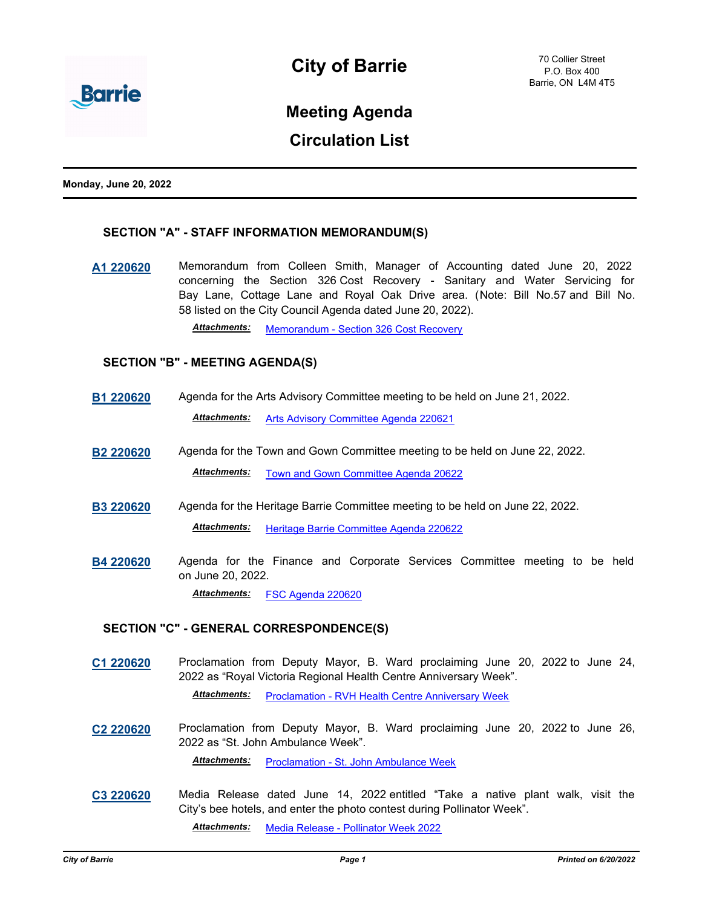

# **Meeting Agenda**

## **Circulation List**

**Monday, June 20, 2022**

### **SECTION "A" - STAFF INFORMATION MEMORANDUM(S)**

**[A1 220620](http://barrie.ca.legistar.com/gateway.aspx?m=l&id=/matter.aspx?key=50897)** Memorandum from Colleen Smith, Manager of Accounting dated June 20, 2022 concerning the Section 326 Cost Recovery - Sanitary and Water Servicing for Bay Lane, Cottage Lane and Royal Oak Drive area. (Note: Bill No.57 and Bill No. 58 listed on the City Council Agenda dated June 20, 2022).

*Attachments:* [Memorandum - Section 326 Cost Recovery](http://barrie.ca.legistar.com/gateway.aspx?M=F&ID=2c47e9c6-694a-49d1-82da-14fcf8c30ba2.pdf)

### **SECTION "B" - MEETING AGENDA(S)**

**[B1 220620](http://barrie.ca.legistar.com/gateway.aspx?m=l&id=/matter.aspx?key=50892)** Agenda for the Arts Advisory Committee meeting to be held on June 21, 2022.

*Attachments:* [Arts Advisory Committee Agenda 220621](http://barrie.ca.legistar.com/gateway.aspx?M=F&ID=d040d450-5334-4910-8627-8ba85170bcca.pdf)

- **[B2 220620](http://barrie.ca.legistar.com/gateway.aspx?m=l&id=/matter.aspx?key=50893)** Agenda for the Town and Gown Committee meeting to be held on June 22, 2022. *Attachments:* [Town and Gown Committee Agenda 20622](http://barrie.ca.legistar.com/gateway.aspx?M=F&ID=ea3451ca-c5f3-4a45-a424-c4945546b945.pdf)
- **[B3 220620](http://barrie.ca.legistar.com/gateway.aspx?m=l&id=/matter.aspx?key=50895)** Agenda for the Heritage Barrie Committee meeting to be held on June 22, 2022. *Attachments:* [Heritage Barrie Committee Agenda 220622](http://barrie.ca.legistar.com/gateway.aspx?M=F&ID=733f1b76-c2b4-42f7-b4d0-3c76869c9ed4.pdf)
- **[B4 220620](http://barrie.ca.legistar.com/gateway.aspx?m=l&id=/matter.aspx?key=50914)** Agenda for the Finance and Corporate Services Committee meeting to be held on June 20, 2022. *Attachments:* [FSC Agenda 220620](http://barrie.ca.legistar.com/gateway.aspx?M=F&ID=ed36ad7b-5c49-4253-b93c-47b5dc515f6d.pdf)

**SECTION "C" - GENERAL CORRESPONDENCE(S)**

**[C1 220620](http://barrie.ca.legistar.com/gateway.aspx?m=l&id=/matter.aspx?key=50862)** Proclamation from Deputy Mayor, B. Ward proclaiming June 20, 2022 to June 24, 2022 as "Royal Victoria Regional Health Centre Anniversary Week".

**Attachments:** [Proclamation - RVH Health Centre Anniversary Week](http://barrie.ca.legistar.com/gateway.aspx?M=F&ID=eaeb9585-4773-4b42-a2ec-6e2d963eaff7.pdf)

**[C2 220620](http://barrie.ca.legistar.com/gateway.aspx?m=l&id=/matter.aspx?key=50863)** Proclamation from Deputy Mayor, B. Ward proclaiming June 20, 2022 to June 26, 2022 as "St. John Ambulance Week".

*Attachments:* [Proclamation - St. John Ambulance Week](http://barrie.ca.legistar.com/gateway.aspx?M=F&ID=0c067ac9-db2f-4d1d-b59b-097225838109.pdf)

**[C3 220620](http://barrie.ca.legistar.com/gateway.aspx?m=l&id=/matter.aspx?key=50890)** Media Release dated June 14, 2022 entitled "Take a native plant walk, visit the City's bee hotels, and enter the photo contest during Pollinator Week".

*Attachments:* [Media Release - Pollinator Week 2022](http://barrie.ca.legistar.com/gateway.aspx?M=F&ID=caa50532-c4c9-4d04-b622-679f76aa42fd.pdf)